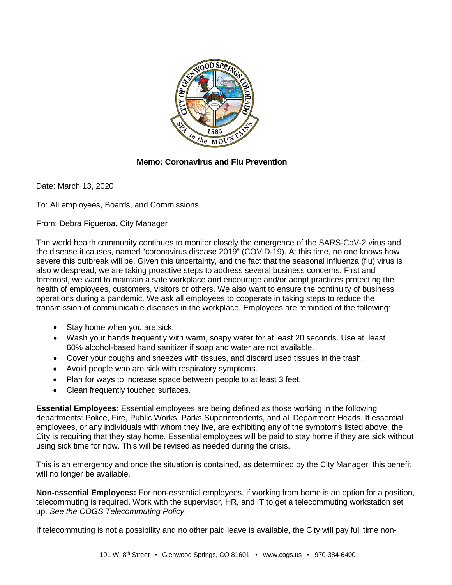

## **Memo: Coronavirus and Flu Prevention**

Date: March 13, 2020

To: All employees, Boards, and Commissions

From: Debra Figueroa, City Manager

The world health community continues to monitor closely the emergence of the SARS-CoV-2 virus and the disease it causes, named "coronavirus disease 2019" (COVID-19). At this time, no one knows how severe this outbreak will be. Given this uncertainty, and the fact that the seasonal influenza (flu) virus is also widespread, we are taking proactive steps to address several business concerns. First and foremost, we want to maintain a safe workplace and encourage and/or adopt practices protecting the health of employees, customers, visitors or others. We also want to ensure the continuity of business operations during a pandemic. We ask all employees to cooperate in taking steps to reduce the transmission of communicable diseases in the workplace. Employees are reminded of the following:

- Stay home when you are sick.
- Wash your hands frequently with warm, soapy water for at least 20 seconds. Use at least 60% alcohol-based hand sanitizer if soap and water are not available.
- Cover your coughs and sneezes with tissues, and discard used tissues in the trash.
- Avoid people who are sick with respiratory symptoms.
- Plan for ways to increase space between people to at least 3 feet.
- Clean frequently touched surfaces.

**Essential Employees:** Essential employees are being defined as those working in the following departments: Police, Fire, Public Works, Parks Superintendents, and all Department Heads. If essential employees, or any individuals with whom they live, are exhibiting any of the symptoms listed above, the City is requiring that they stay home. Essential employees will be paid to stay home if they are sick without using sick time for now. This will be revised as needed during the crisis.

This is an emergency and once the situation is contained, as determined by the City Manager, this benefit will no longer be available.

**Non-essential Employees:** For non-essential employees, if working from home is an option for a position, telecommuting is required. Work with the supervisor, HR, and IT to get a telecommuting workstation set up. *See the COGS Telecommuting Policy*.

If telecommuting is not a possibility and no other paid leave is available, the City will pay full time non-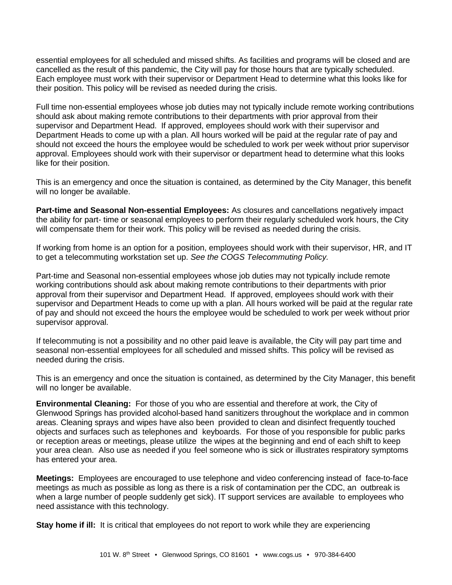essential employees for all scheduled and missed shifts. As facilities and programs will be closed and are cancelled as the result of this pandemic, the City will pay for those hours that are typically scheduled. Each employee must work with their supervisor or Department Head to determine what this looks like for their position. This policy will be revised as needed during the crisis.

Full time non-essential employees whose job duties may not typically include remote working contributions should ask about making remote contributions to their departments with prior approval from their supervisor and Department Head. If approved, employees should work with their supervisor and Department Heads to come up with a plan. All hours worked will be paid at the regular rate of pay and should not exceed the hours the employee would be scheduled to work per week without prior supervisor approval. Employees should work with their supervisor or department head to determine what this looks like for their position.

This is an emergency and once the situation is contained, as determined by the City Manager, this benefit will no longer be available.

**Part-time and Seasonal Non-essential Employees:** As closures and cancellations negatively impact the ability for part- time or seasonal employees to perform their regularly scheduled work hours, the City will compensate them for their work. This policy will be revised as needed during the crisis.

If working from home is an option for a position, employees should work with their supervisor, HR, and IT to get a telecommuting workstation set up. *See the COGS Telecommuting Policy.* 

Part-time and Seasonal non-essential employees whose job duties may not typically include remote working contributions should ask about making remote contributions to their departments with prior approval from their supervisor and Department Head. If approved, employees should work with their supervisor and Department Heads to come up with a plan. All hours worked will be paid at the regular rate of pay and should not exceed the hours the employee would be scheduled to work per week without prior supervisor approval.

If telecommuting is not a possibility and no other paid leave is available, the City will pay part time and seasonal non-essential employees for all scheduled and missed shifts. This policy will be revised as needed during the crisis.

This is an emergency and once the situation is contained, as determined by the City Manager, this benefit will no longer be available.

**Environmental Cleaning:** For those of you who are essential and therefore at work, the City of Glenwood Springs has provided alcohol-based hand sanitizers throughout the workplace and in common areas. Cleaning sprays and wipes have also been provided to clean and disinfect frequently touched objects and surfaces such as telephones and keyboards. For those of you responsible for public parks or reception areas or meetings, please utilize the wipes at the beginning and end of each shift to keep your area clean. Also use as needed if you feel someone who is sick or illustrates respiratory symptoms has entered your area.

**Meetings:** Employees are encouraged to use telephone and video conferencing instead of face-to-face meetings as much as possible as long as there is a risk of contamination per the CDC, an outbreak is when a large number of people suddenly get sick). IT support services are available to employees who need assistance with this technology.

**Stay home if ill:** It is critical that employees do not report to work while they are experiencing